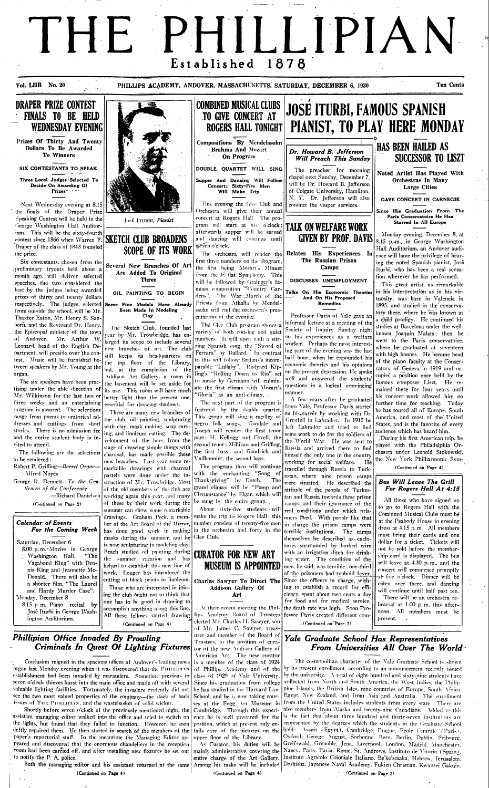# THE PHILLIPIAN 1878 Established

Vol. LIIB No. 20

PHILLIPS ACADEMY, ANDOVER, MASSACHUSETTS, SATURDAY, DECEMBER 6, 1930

#### **Ten Cents**

### **DRAPER PRIZE CONTEST FINALS TO BE HELD WEDNESDAY EVENING**

Prizes Of Thirty And Twenty Dollars To Be Awarded **To Winners** 

SIX CONTESTANTS TO SPEAK Three Local Judges Selected To Decide On Awarding Of Prizes<sup>®</sup>

Next Wednesday evening at 8.15 the finals of the Draper Prize Speaking Contest will be held in the George Washington Hall Auditorium. This will be the sixty-fourth contest since 1866 when Warren F. SKETCH CLUB BROADENS Draper of the class of 1843 founded the prize.

Six contestants, chosen from the preliminary tryouts held about a month ago, will deliver selected speeches, the two considered the best by the judges being awarded prizes of thirty and twenty dollars respectively. The judges, selected Some Fine Models Have Already from outside the school, will be Mr. Thaxter Eaton, Mr. Henry S. Sanborn, and the Reverend Dr. Henry, the Episcopal minister of the town of Andover. Mr. Arthur W. Leonard, head of the English Department, will preside over the contest. Music will be furnished between speakers by Mr. Young at the organ.

The six speakers have been practising under the able direction of Mr. Wilkinson for the last two or three weeks and an entertaining program is assured. The selections range from poems to oratorical addresses and cuttings from short stories. There is no admission fee and the entire student body is invited to attend.

The following are the selections to be rendered:

Robert P. Griffing-Barrel Organ-Alfred Noyes

George R. Dennett-To the Gentlemen of the Conference



JOSÉ ITURBI, Pianist

# **SCOPE OF ITS WORK**

Several New Branches Of Art Are Added To Original **Three** 

OIL PAINTING TO BEGIN

Been Made In Modeling Clay

The Sketch Club, founded last year by Mr. Trowbridge, has enlarged its scope to include several new branches of art. The club still keeps its headquarters on the top floor of the Library, but, at the completion of the Addison Art Gallery, a room in the basement will be set aside for its use. This room will have much better light than the present one, essential for drawing shadows.

There are many new branches of the club, oil painting, sculpturing with clay, mask making, soap carving, and linoleum cutting. The development of the boys from the stage of drawing simple things with charcoal, has made possible these new branches. Last year some remarkable drawings with charcoal pastels were done under the instruction of Mr. Trowbridge. Most of the old members of the club are -Richard Danielson working again this year, and many Circumstance" by Elgar, which will



The program then will continue with the enchanting "Song of Thanksgiving", by Dutch. The grand climax will be "Pomp and

travelled through Russia to Turkestan, where nine prison camps were situated. He described the attitude of the people of Turkestan and Russia towards these prison

(Continued on Page 4)

### **Bus Will Leave The Grill** For Rogers Hall At 4:15

 $\overline{M}$  there who has

| (Continued on Page 2)                                                                                                                                                                                                                                                                                                                                                                      | of these by their work during the<br>summer can show some remarkable  <br>drawings. Graham Peck, a mem-                                                                                                                                                                                                                                                                                                                                                                                                           | be sung by the entire group. $\Box$<br>About sixty-five students will                                                                                                                                                                                                                                                             | camps and their ignorance of the<br>real conditions under which pris-<br>make the trip to Rogers Hall: this onters lived. With people like that                                                                                                                                                                                                                                                                                                                                                                                                                                                                            | An mose who have signed up<br>to go to Rogers Hall with the<br>Combined Musical Clubs must be                                                                                                                                                                                                                                                                                                                                                                                                                |  |
|--------------------------------------------------------------------------------------------------------------------------------------------------------------------------------------------------------------------------------------------------------------------------------------------------------------------------------------------------------------------------------------------|-------------------------------------------------------------------------------------------------------------------------------------------------------------------------------------------------------------------------------------------------------------------------------------------------------------------------------------------------------------------------------------------------------------------------------------------------------------------------------------------------------------------|-----------------------------------------------------------------------------------------------------------------------------------------------------------------------------------------------------------------------------------------------------------------------------------------------------------------------------------|----------------------------------------------------------------------------------------------------------------------------------------------------------------------------------------------------------------------------------------------------------------------------------------------------------------------------------------------------------------------------------------------------------------------------------------------------------------------------------------------------------------------------------------------------------------------------------------------------------------------------|--------------------------------------------------------------------------------------------------------------------------------------------------------------------------------------------------------------------------------------------------------------------------------------------------------------------------------------------------------------------------------------------------------------------------------------------------------------------------------------------------------------|--|
| <b>Calendar of Events</b><br>For the Coming Week<br>Saturday, December 6<br>8.00 p.m. Movies in George<br>Washington Hall. "The<br>Vagabond King" with Den-<br>nis King and Jeannette Mc-<br>Donald. There will also be<br>a shorter film, "The Laurel<br>and Hardy Murder Case".<br>Monday, December 8<br>8.15 p.m. Piano recital by<br>José Iturbi in George Wash-<br>ington Auditorium. | ber of the Art Board of the Mirror,<br>masks during the summer, and he<br>is now sculpturing in modeling clay.<br>Beach studied oil painting during CURATOR FOR NEW ART<br>helped to establish this new line of<br>work. Lougee has introduced the<br>cutting of block prints in linoleum.<br>Those who are interested in join-<br>ing the club ought not to think that<br>one has to be good in drawing to<br>accomplish anything along this line.<br>All these fellows started drawing<br>(Continued on Page 4) | number consists of twenty-five men<br>has done good work in making in the orchestra and forty in the terrible institutions.<br>Glee Club.<br><b>MUSEUM IS APPOINTED</b><br>Charles Sawyer To Direct The<br>Addison Gallery Of<br>Art $\ddot{\phantom{1}}$<br>elected Mr. Charles H. Sawyer, son<br>of Mr. James C. Sawyer, treas- | in charge the prison camps were<br>The camps<br>themselves he described as enclo-<br>sures surrounded by barbed wire<br>with an irrigation ditch for drink-<br>ing water. The condition of the<br>[men, he said, was terrible : one-third]]<br>of the prisoners had typhoid fever.<br>Since the officers in charge, wish-<br>ing to establish a record for effi-<br>ciency, spent about two cents a day<br>for food and for medical service,<br>At their recent meeting the Phil- the death rate was high. Soon Pro-<br>lips Academy Board of Trustees fessor Davis created different com-<br>$\Box$ (Continued on Page 2) | at the Peabody House in evening<br>dress at 4.15 p.m. All members<br>must bring their cards and one<br>dollar for a ticket. Tickets will<br>not be sold before the member-<br>ship card is displayed. The bus<br>will leave at 4.30 p.m., and the<br>concert will commence promptly<br>at five o'clock. Dinner will be<br>eaten over there, and dancing<br>will continue until half past ten.<br>There will be an orchestra re-<br>hearsal at 1.00 p.m. this after-<br>noon. All members must be<br>present. |  |
| Phillipian Office Invaded By Prowling<br>Criminals In Quest Of Lighting Fixtures<br>Confusion reigned in the spacious offices of Andover's leading news is a member of the class of 1924                                                                                                                                                                                                   |                                                                                                                                                                                                                                                                                                                                                                                                                                                                                                                   | urer and member of the Board of.<br>Trustees, to the position of cura-<br>tor of the new Addison Gallery of<br>American Art. The new curator                                                                                                                                                                                      | Yale Graduate School Has Representatives<br>From Universities All Over The World<br>The cosmopolitan character of the Yale Graduate School is shown                                                                                                                                                                                                                                                                                                                                                                                                                                                                        |                                                                                                                                                                                                                                                                                                                                                                                                                                                                                                              |  |

of Phillips Academy and of the

class of 1929 of Vale University.

Since his graduation from college

he has studied in the Harvard Law.

School, and he is now taking cour-

Confusion reigned in the spacious offices of Andover's leading news is a member of the class of 1924 organ last Monday evening when it was discovered that the PHILLIPIAN establishment had been invaded by marauders. Sometime previous to seven o'clock thieves burst into the main office and made off with several valuable lighting facilities. Fortunately, the invaders evidently did not see the two most valued properties of the company-the stack of back issues of THE PHILLIPIAN, and the wastebasket of solid wicker.

Shortly before seven o'clock of the previously mentioned night, the assistant managing editor walked into the office and tried to switch on the lights, but found that they failed to function. However, he soon deftly repaired them. He then started in search of the members of the paper's reportorial staff. In the meantime the Managing Editor appeared and discovered that the enormous chandeliers in the reception room had been carried off, and after installing new fixtures he set out to notify the P. A. police.

Both the managing editor and his assistant returned at the same

(Continued on Page 4)

Among his tasks will be included (Continued on Page 4)

As Curator, his duties will be

mainly administrative, covering the

entire charge of the Art Gallery.

upper floor of the Library.

Doshisha. Japanese Naval Academy. Fukien Christian. Kwansei Gakuin. (Continued on Page\_3)

by its present enrollment, according to an announcement recently issued

by the university. A total of eight-hundred and sixty-nine students have

collected from North and South America, the West Indies, the Philip

pine Islands, the British Isles, nine countries of Europe, South Africa.

Egypt, New Zealand, and from Asia and Australia. The enrollment

Oxford, George August, Sorbonne, Bern, Berlin, Dublin, Fribourg,

Greifswald, Grenoble; Jena, Liverpool, London, Madrid, Manchester,

Nancy, Paris, Pavia, Rome, St. Andrews, Instituto de Vitoria (Spain).

Instituto Agricolo Coloniale Italiano. Be'ke'scsaka. Hebrew. Jerusalem.

ses at the Fogg Art Museum in from the United States includes students from every state There are Cambridge. Through this experi- also members from Maska and twenty-nine Canadians. Added to this

ence he is well prepared for the is the fact that about three hundred and thirty-seven institutions are

position, which at present only en- represented by the degrees which the students in the Graduate School

tails care of the pictures on the hold. Assuit (Egypt), Cambridge, Prague, Ecole Centrale (Paris),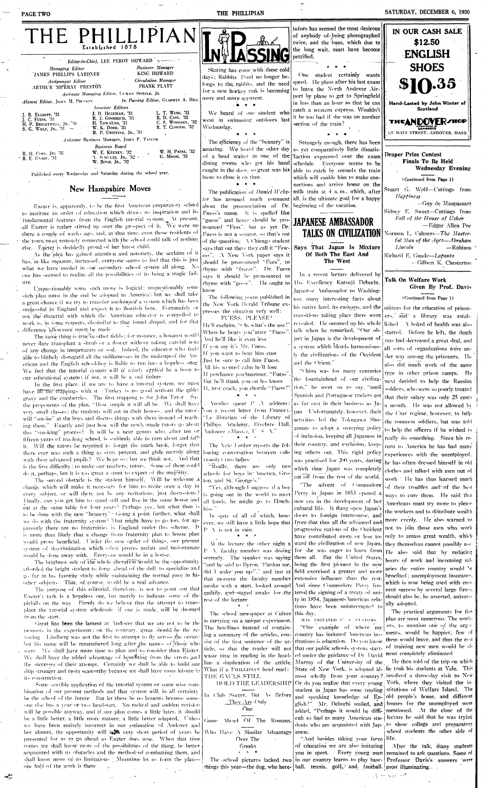| THE PHILLIPIAN<br>Established 1878                                                                                                                                                                                                                                                            | াটামে এঁ                                                                                               | tofore has seemed the most desirous<br>of anybody of being photographed<br>twice, and the buns, which due to<br>the long wait, must have become                                                                                                                                  | IN OUR CASH SALE<br>\$12.50<br><b>ENGLISH</b>                               |
|-----------------------------------------------------------------------------------------------------------------------------------------------------------------------------------------------------------------------------------------------------------------------------------------------|--------------------------------------------------------------------------------------------------------|----------------------------------------------------------------------------------------------------------------------------------------------------------------------------------------------------------------------------------------------------------------------------------|-----------------------------------------------------------------------------|
| <i>Editor-in-Chief, LEE PEROT HOWARD</i> $\rightarrow$                                                                                                                                                                                                                                        |                                                                                                        | petrified.                                                                                                                                                                                                                                                                       |                                                                             |
| <b>Business</b> Manager<br><b>Managing Editor</b><br>KING HOWARD<br><b>JAMES PHILLIPS LARDNER</b><br><b>Circulation Manager</b><br>Assignment Editor                                                                                                                                          | Skating has come with these cold<br>days; Rabbits Pond no longer be-                                   | One student certainly wants<br>longs to the, rabbits, and the need speed. He plans after his last exam                                                                                                                                                                           | <b>SHOES</b><br>\$10.35                                                     |
| FRANK PLATT<br>ARTHUR MURRAY PRESTON<br>Assistant Managing Editor, INMAN SPITZER, JR.                                                                                                                                                                                                         | for a new hockey rink is becoming<br>more and more apparent.                                           | to leave the North Andover Air-<br>port by plane to get to Springfield                                                                                                                                                                                                           |                                                                             |
| In Passing Editor, GLADWIN A. HILL<br>Alumni Editor, JOHN M. PRESION<br><b>Associate Editors</b>                                                                                                                                                                                              |                                                                                                        | in less than an hour so that he can<br>catch a western express. Wouldn't                                                                                                                                                                                                         | Hand-Lasted by John Winter of<br>Scotland                                   |
| L. T. WING, '31<br>J. D. HEGEMAN, '31<br>J. B. ELLIOTT, '31<br>R. D. CASE, '32<br>R. J. GOODRICH, '31<br>J. C. Fuess. '31<br>C. S. WOOLSEA, '32<br>H. Townksn, '31<br>H. P. BRIGHTWEIL, JR., 31<br>R. T. CLOUGH, '32<br>W. K. Dopp, '31<br>S. G. WOLF, JR., $31 -$<br>R. P. GRIFFING, JR., 31 | We heard of one student who<br>went in swimming outdoors last<br>Wednesday.                            | it be too bad if she was on another<br>section of the train?                                                                                                                                                                                                                     | <b>THEANDOVER/HOP</b><br><b>LANGROCK</b><br>127 MAIN STREET, ANDOVER, MASS. |
| Assistant Business Manager, JOHN F. TAYLOR                                                                                                                                                                                                                                                    |                                                                                                        |                                                                                                                                                                                                                                                                                  |                                                                             |
| <b>Business Board</b><br><b>W. H. PAINE, '32</b><br>W. E. KEENEY, '32<br>R. H. Com. JE. '31<br>G. Mook, '33<br>A. SOITLTZ, JR., 32 + +<br>$^4$ R, E, GNADE, $31$<br>W. Boyn. Jn., '32                                                                                                         |                                                                                                        | The efficiency of the "beanery" is   Strangely enough, there has been<br>amazing. We heard the other day as yet comparatively little dissatis-<br>of a head waiter in one of the faction expressed over the exam<br>dining rooms who got his hand schedule. Everyone seems to be | <b>Draper Prize Contest</b><br><b>Finals To Be Held</b>                     |
| Published every Wednesday and Saturday during the school year.                                                                                                                                                                                                                                | haste to close it on time.                                                                             | caught in the door, so great was his able to catch by seconds the train<br>which will enable him to make con-                                                                                                                                                                    | <b>Wednesday Evening</b><br>(Continued from Page 1)                         |
| New Hampshire Moves                                                                                                                                                                                                                                                                           |                                                                                                        | nections and arrive home on the<br>The publication of <i>Daniel Webs-</i> milk train at 4 a.m., which, after                                                                                                                                                                     | Stuart G. Wolf-Cuttings from                                                |
|                                                                                                                                                                                                                                                                                               |                                                                                                        | ter has aroused much comment all, is the ultimate goal for a happy                                                                                                                                                                                                               | Happiness                                                                   |
| Exeter is, apparently, to be the first American preparatory school                                                                                                                                                                                                                            | about the pronunciation of Dr. beginning of the vacation.                                              |                                                                                                                                                                                                                                                                                  | -Guy de Maupassant<br>Sidney E. Sweet--Cuttings from                        |
| to institute an order of education which draws its inspiration and its<br>fundamental features from the English intorial system. At present,<br>sall Exeter is rather stirred up over the prospect of it. We were up                                                                          | Fuess's name. It is spelled like<br>"guess" and hence should be pro-<br>nounced "Fess", but as yet Dr. | <b>JAPANESE AMBASSADOR</b>                                                                                                                                                                                                                                                       | Fall of the House of Usher<br>-Edgar Allen Poe                              |
| there a couple of weeks ago, and, at that time, even those residents of                                                                                                                                                                                                                       | Fuess is not a senator, so that's out                                                                  | TALKS ON CIVILIZATION                                                                                                                                                                                                                                                            | Norman L. Cahners-The Master-                                               |
| the town most remotely connected with the school could talk of nothing<br>else. Exeter is decidedly proud of her latest child.                                                                                                                                                                | of the question: VChicago student                                                                      |                                                                                                                                                                                                                                                                                  | ful Man of the Ages-Abraham                                                 |
| As the idea has gained attention and notoriety, the acclaim of it                                                                                                                                                                                                                             | ess". A New York paper says it                                                                         | says that out there they call it "Few- Says That Japan Is Mixture<br>Of Both The East And                                                                                                                                                                                        | Lincoln<br>$-Robison$<br>Richard E. Gnade-Lapanto                           |
| has, in like measure, increased, everyone seems to feel that this is just                                                                                                                                                                                                                     | should be pronounced "Fees", to                                                                        | The West                                                                                                                                                                                                                                                                         | -Gilbert K. Chesterton                                                      |
| what we have needed in our secondary school system all along. No<br>one has seemed to realize all the possibilities of its being a tragic fail-                                                                                                                                               | rhyme with "freeze". Dr. Fuess                                                                         | In a recent lecture delivered by                                                                                                                                                                                                                                                 |                                                                             |
| ure.                                                                                                                                                                                                                                                                                          | says it should be pronounced to<br>thyme with "geese". He ought to                                     | His Excellency Katsuji Debuchi,                                                                                                                                                                                                                                                  | Talk On Welfare Work                                                        |
| Unquestionably some such move is logical; unquestionably some                                                                                                                                                                                                                                 | know                                                                                                   | Japanese Ambassador to Washing-                                                                                                                                                                                                                                                  | Given By Prof. Davis                                                        |
| such plan must in the end be adopted in America: but we shall take<br>a great-chance if we try to transfer unchanged a system which has been                                                                                                                                                  | The following poem published in                                                                        | ton, many interesting facts about                                                                                                                                                                                                                                                | (Continued from Page 1)                                                     |
| successful in England and expect it to flourish here. Fortunately or                                                                                                                                                                                                                          | the New York Herald Tribune ex-                                                                        | his native land, its customs, and the mittees for the education of prison-                                                                                                                                                                                                       |                                                                             |
| not the material with which the American educator is compelled to                                                                                                                                                                                                                             | presses the situation very well:<br>FUESS, PLEASE!                                                     | transitions taking place there were ers, and a library was estab-                                                                                                                                                                                                                |                                                                             |
| work is, in some respects, dissimilar to that found abread, and for that                                                                                                                                                                                                                      | He'll exclaim, "Oh, what's the use!"                                                                   | revealed. He summed up his whole   lished   A board of health was also                                                                                                                                                                                                           |                                                                             |
| difference allowance must) be made<br>The same thing is true in other fields; for instance, a botanist would                                                                                                                                                                                  | When he hears you"utter "Fuess"                                                                        | talk when he remarked, "Our ob-                                                                                                                                                                                                                                                  | started. Before he left, the death                                          |
| never dare transplant a shrub or a flower without taking careful note                                                                                                                                                                                                                         | And he'll like it even less i                                                                          | ject in Japan is the development of                                                                                                                                                                                                                                              | rate had decreased a great deal, and                                        |
| of any change in temperature or soil. Indeed, the educator who feels                                                                                                                                                                                                                          | If you say it's Mr. Fuess.<br>If you want to hear him cuss                                             | a system which blends harmonious-<br>Iv the civilizations of the Occident                                                                                                                                                                                                        | all sorts of organizations were un-                                         |
| alile to blithely disregard all the unlikenesses in the makeuport the Am<br>erican and the English school-boy is liable to run into a hopeless smag                                                                                                                                           | Just be sure to call him Fuess.                                                                        | and the Orient."                                                                                                                                                                                                                                                                 | der way among the prisoners. He                                             |
| We feel that the tutorial system will if wisely applied be a boon to                                                                                                                                                                                                                          | All his wonted calm he'll lose                                                                         | "China was for many centuries                                                                                                                                                                                                                                                    | also did much work of the same                                              |
| our educational system; if not, it will be a sad failure                                                                                                                                                                                                                                      | If perchance you imurmur. "Fuess".<br>But he'll thank you on his knees                                 | the fountainhead of our civiliza-                                                                                                                                                                                                                                                | type in other prison camps. He<br>next decided to help the Russian          |
| In the first place, if we are to have a tutorial system, we must                                                                                                                                                                                                                              | 1f, first crack, you chortle "Fuess!"                                                                  | tion," he went on to say, "until                                                                                                                                                                                                                                                 | soldiers, who were so poorly treated                                        |
| have all the trappings with it. Turkey is no good without the gible:<br>gravy and the cranberries. The first trapping is Sir John Tutor. Say                                                                                                                                                  |                                                                                                        | Spanish and Portuguese traders got                                                                                                                                                                                                                                               | that their salary was only 25 cents                                         |
| the proponents of the plan, "How simple it will all be. We shall have                                                                                                                                                                                                                         |                                                                                                        | Nuother queer $P/\Delta$ address: [as far east in their business as Ja-                                                                                                                                                                                                          | a month. He was not allowed by                                              |
| very small classes; the students will eat-in their houses, and the tutors from a recent letter from France).                                                                                                                                                                                  |                                                                                                        | pan Unfortunately, however, their                                                                                                                                                                                                                                                | the Czar regime, however, to help                                           |
| will "smoke" at the boys and discuss things with them instead of teach-<br>ing them." Exactly and just how will the newly-made tutors go about                                                                                                                                                | "Le librarian of the Library of<br>Fhillips Academy, Brechire Hall,                                    | activities led the Tokugawa Sho-                                                                                                                                                                                                                                                 | the common soldiers, but was told                                           |
| this "smoking" process? It will be a near genus who, after ten or                                                                                                                                                                                                                             | Andower (Mass.), U.S. A."                                                                              | gunate to adopt a sweeping policy                                                                                                                                                                                                                                                | to help the officers if he wished to                                        |
| fifteen years of teaching school, is suddenly able to turn about and tall-                                                                                                                                                                                                                    |                                                                                                        | of inclusion, keeping all Japanese in                                                                                                                                                                                                                                            | really do something. Since his re-                                          |
| it. Will the tutors be required to forget the mark book, forget that                                                                                                                                                                                                                          | The New Yorker reports the fol-                                                                        | their country, and exclusion, keep-                                                                                                                                                                                                                                              | turn to America he has had many                                             |
| there ever was such a thing as sixty percent, and glide merrily along [lowing conversation between (ob- ing others out. This rigid policy<br>with their advanced pupils? We hope so; but we think not. And that $\{x\}$ (wo ladies:                                                           |                                                                                                        | was practised for 200 years, during                                                                                                                                                                                                                                              | experiences with the unemployed.                                            |
|                                                                                                                                                                                                                                                                                               |                                                                                                        |                                                                                                                                                                                                                                                                                  |                                                                             |

is the first difficulty : to make our teachers, tutors. Some of them could "Really, there are only two do it, perhaps, but it is too great a stunt to expect of the majority. The second obstacle is the student himself. Will he welcome a

change which will make it necessary for him to recite once a day in every subject, or will there not be any recitations, just discussions? Finally, can you get him to stand still and live in the same house and

schools for boys in America, Groton, and St. George's." "Yes, although I suppose if a boy

is going out in the world to meet

was practised for 200 years, during he has often dressed himself in old which time Japan was completely cut off from the rest of the world.

"The advent of Commodore Perry in Japan in 1853 opened a all kinds, he might go to Hotch- new era in the development of her cultural life. It thing open Japan's doors to foreign intercourse, and from that time all the advanced and progressive nations of the Occident have contributed more or less toward the civilization of new Japan. for she was eager to learn from them all. But the United States, being the first pioneer in the new field exercised a greater and more extensive influence than the rest. And since Commodore Perry fostered the signing of a treaty of unity in 1854, Japanese-American relations have been uninterrupted to this day. HAS IMITATED U. S. CUSTOMS "One example of where my country has imitated' American insertments, would be happier, few of titutions is education. Do you know, them would leave, and thus the cost that our public schools system, start- of training new men would be aled under the guidance of Dr David most completely eliminated Murray of the University of the He then told of the trip on which State of New York, is adopted al-, he took his students at Yale. This most wholly from your country? involved a three-day visit to New Or do you realize that every young York, where they visited the instudent in Japan has some reading stitutions of Welfare Island. The and speaking knowledge of En- old people's home, and different glish?" Mr. Debuchi smiled, and houses for the unemployed were added, "Perhaps it would be diffi- mentioned. At the close of the cult to find as many American stu- lecture he said that he was trying dents who are acquainted with Jap- to show college and preparatory anese. "And besides taking your form of education we are also imitating you in sport. Every young man remained to ask questions. Some of The school pictures lacked two in our country learns to play hase- Professor Davis's answers were things this year—the dog, who here- | ball. tennis.  $\text{golf}_y$  and football. | most illuminating...

clothes and talked with men out of work The has thus learned much of their troubles and of the best ways to cure them. He said that Americans must try more to please the workers and to distribute wealth more evenly. He also warned its not to join those men who work only to amass great wealth, which they themselves cannot possibly use He also said that by reducing hours of work and increasing salaries the entire country would be benefited : unemployment insurance. which is now being used with eminent success by several large firms. should also be, he asserted, universally adopted. The practical arguments for this plan are most numerous. The workers, to mention one of the argschool students the other side of | life.

eat at the same table for four years? Perhaps yes, but what then is to be done with the new "beanery" : Going a point further, what shall we do with the traternity system? That might have to go too, for apparently there are no fraternities in England under this scheme. It is more than likely that a change from fraternity plan to house plan would prove beneficial. Under the new order of things, our present system of discrimination which often proves unfair and unfortunate would be done away with. Everyone would be in a house.

The brightest side of the whole alteration would be the opportunity aftorded the bright student to forge ahead of the dull to specialize and go far in his favorite study while maintaining the normal pace in his other subjects. That, of course, would be a real advance.

The purpose of this editorial, therefore, is not to point out that Exeter's task is a hopeless one, but merely to indicate some of the pitfalls on the way. Firmly do we believe that the attempt to transplant the tutorial system wholesale if one is made, will be doomed from the start.

Great has been the lament at Andover that we are not to be the proneers in the experiment; on the contrary, great should be the reboicing. Lindberg was not the first to attempt to fly across the oceanbut his name will be remembered long after the names of those who were. We shall have more time to plan and to consider than Exeter. We shall have the added advantage of benefiting from the errors and the successes of their attempt. Certainly we shall be able to build our ship stronger and more seaworthy because we shall have more leisure in its construction.

Some sensible application of the tutorial system or some wise combination of our present methods and that system will, in all certainty be the school of the future. But let there be no laments because some one clse has a year or two headstart. No radical and sudden revision will be possible anyway, and if our plan comes a little later, it should be a little better, a little more mature, a little better adapted. Unless we have been entirely incorrect in our estimation of. Andover and her alumni, the opportunity will in were short period of years be presented for us to go ahead as Exeter does now. When that time comes we shall know more of the possibilities of the thing, be better acquainted with its obstacles and the method-of combatting them, and shall know more of its limitations. Meantime let us form the planone half of the work is there

kiss " In spate of all of which, however, we still have a little hope that  $P - V$  is not in vain.

Yt the lecture the other night a P. A. faculty member was dozing serenely. The speaker was saying "and he said to Byron, "Pardon me, did I wake you up?." and just at that moment the faculty member awôke 'with a start, looked around guiltily, and stayed awake for the rest of the lecture

The school newspaper at Culver is carrying on a unique experiment. The headlines instead of containing a summary of the articles, consist of the first sentence of the article, so that the reader will not waste time in reading in the headline a duplication of the article. What if a PHILLIPLAN head read: THE GAULS STILL HOLD THE LEADERSHIP

In Club Soccer, But As Before <u>\_They\_Ar</u>e Only  $_{\rm One}$ Ahead Of The Romans. Game Who Have A Similar Advantage Over The Greeks

After the talk, many students

يعجم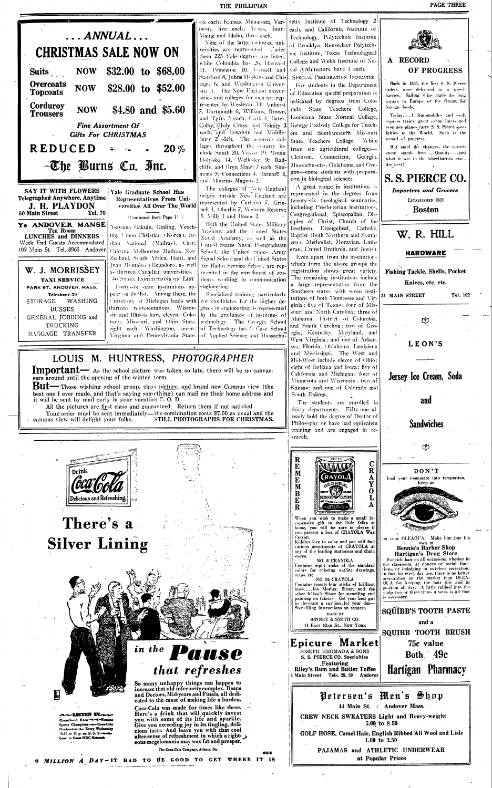

A RECORD OF PROGRESS Back in 1831, the first S. S. Pierce orders were delivered in a wheelharrow. Sailing ships made the long voyage to Europe or the Orient for foreign foods. Today....! Automobiles and swift express trains, great ocean liners and even aeroplanes carry S. S. Pierce specialties to the World. Such is the record of progress. But amid the changes, the corner-

stone stands firm....Quality....just what it was in the wheelbarrow era... the best!



Jersev Ice Cream, Soda

and

**Sandwiches** 

ල්  $DON'T$ lead your roommate into temptation. Keep an

## There's a **Silver Lining**

-LISTEN IN-

Grantland Rice-u-L-Famous

Sports Champions -u- Coca-Cola Orchestra - Every Wednesday<br>10.30 to 11 p. m. E. S. T. - Coast to Coast NBC Network

Delicious and Refreshing

in the **US Q** that refreshes

So many unhappy things can happen to<br>increase that old inferiority complex. Deans and Doctors, Mid-years and Finals, all dedicated to the cause of making life a burden.

Coca-Cola was made for times like these. Here's a drink that will quickly invest you with some of its life and sparkle. Give you exceeding joy in its tingling, delicious taste. And leave you with that cool after-sense of refreshment in which a right- y eous megalomania may wax fat and prosper.

The Coca-Cola Company, Atlanta, Ga.

9 MILLION A DAY-IT HAD TO BE GOOD TO GET WHERE IT IS



 $\mathbf C$ 

 $\mathbf{R}$ 

A

Y

 $\mathbf 0$ 

E

M